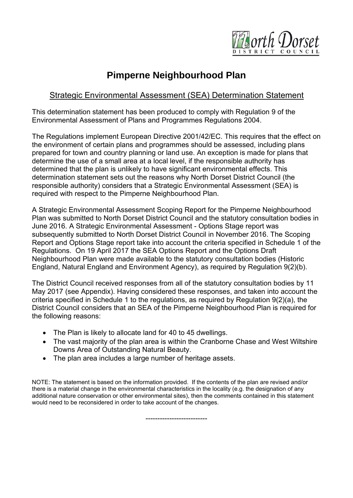

# **Pimperne Neighbourhood Plan**

## **Strategic Environmental Assessment (SEA) Determination Statement**

This determination statement has been produced to comply with Regulation 9 of the Environmental Assessment of Plans and Programmes Regulations 2004.

The Regulations implement European Directive 2001/42/EC. This requires that the effect on the environment of certain plans and programmes should be assessed, including plans prepared for town and country planning or land use. An exception is made for plans that determine the use of a small area at a local level, if the responsible authority has determined that the plan is unlikely to have significant environmental effects. This determination statement sets out the reasons why North Dorset District Council (the responsible authority) considers that a Strategic Environmental Assessment (SEA) is required with respect to the Pimperne Neighbourhood Plan.

A Strategic Environmental Assessment Scoping Report for the Pimperne Neighbourhood Plan was submitted to North Dorset District Council and the statutory consultation bodies in June 2016. A Strategic Environmental Assessment - Options Stage report was subsequently submitted to North Dorset District Council in November 2016. The Scoping Report and Options Stage report take into account the criteria specified in Schedule 1 of the Regulations. On 19 April 2017 the SEA Options Report and the Options Draft Neighbourhood Plan were made available to the statutory consultation bodies (Historic England, Natural England and Environment Agency), as required by Regulation 9(2)(b).

The District Council received responses from all of the statutory consultation bodies by 11 May 2017 (see Appendix). Having considered these responses, and taken into account the criteria specified in Schedule 1 to the regulations, as required by Regulation 9(2)(a), the District Council considers that an SEA of the Pimperne Neighbourhood Plan is required for the following reasons:

- The Plan is likely to allocate land for 40 to 45 dwellings.
- The vast majority of the plan area is within the Cranborne Chase and West Wiltshire Downs Area of Outstanding Natural Beauty.
- The plan area includes a large number of heritage assets.

NOTE: The statement is based on the information provided. If the contents of the plan are revised and/or there is a material change in the environmental characteristics in the locality (e.g. the designation of any additional nature conservation or other environmental sites), then the comments contained in this statement would need to be reconsidered in order to take account of the changes.

--------------------------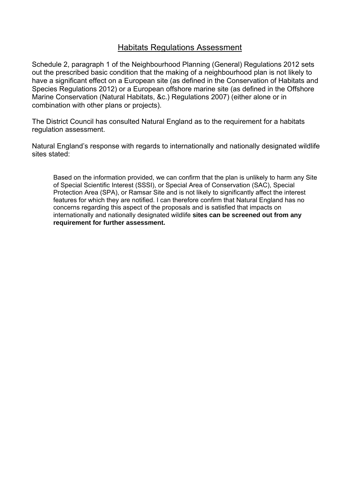## **Habitats Regulations Assessment**

Schedule 2, paragraph 1 of the Neighbourhood Planning (General) Regulations 2012 sets out the prescribed basic condition that the making of a neighbourhood plan is not likely to have a significant effect on a European site (as defined in the Conservation of Habitats and Species Regulations 2012) or a European offshore marine site (as defined in the Offshore Marine Conservation (Natural Habitats, &c.) Regulations 2007) (either alone or in combination with other plans or projects).

The District Council has consulted Natural England as to the requirement for a habitats regulation assessment.

Natural England's response with regards to internationally and nationally designated wildlife sites stated:

Based on the information provided, we can confirm that the plan is unlikely to harm any Site of Special Scientific Interest (SSSI), or Special Area of Conservation (SAC), Special Protection Area (SPA), or Ramsar Site and is not likely to significantly affect the interest features for which they are notified. I can therefore confirm that Natural England has no concerns regarding this aspect of the proposals and is satisfied that impacts on internationally and nationally designated wildlife **sites can be screened out from any requirement for further assessment.**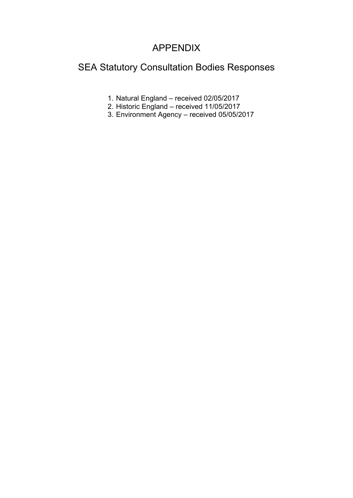## APPENDIX

# SEA Statutory Consultation Bodies Responses

- 1. Natural England received 02/05/2017
- 2. Historic England received 11/05/2017
- 3. Environment Agency received 05/05/2017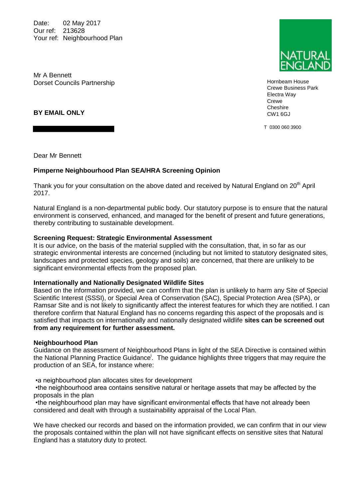Date: 02 May 2017 Our ref: 213628 Your ref: Neighbourhood Plan

Mr A Bennett Dorset Councils Partnership

**BY EMAIL ONLY**

Dear Mr Bennett

#### **Pimperne Neighbourhood Plan SEA/HRA Screening Opinion**

Thank you for your consultation on the above dated and received by Natural England on  $20<sup>th</sup>$  April 2017.

Natural England is a non-departmental public body. Our statutory purpose is to ensure that the natural environment is conserved, enhanced, and managed for the benefit of present and future generations, thereby contributing to sustainable development.

#### **Screening Request: Strategic Environmental Assessment**

It is our advice, on the basis of the material supplied with the consultation, that, in so far as our strategic environmental interests are concerned (including but not limited to statutory designated sites, landscapes and protected species, geology and soils) are concerned, that there are unlikely to be significant environmental effects from the proposed plan.

#### **Internationally and Nationally Designated Wildlife Sites**

Based on the information provided, we can confirm that the plan is unlikely to harm any Site of Special Scientific Interest (SSSI), or Special Area of Conservation (SAC), Special Protection Area (SPA), or Ramsar Site and is not likely to significantly affect the interest features for which they are notified. I can therefore confirm that Natural England has no concerns regarding this aspect of the proposals and is satisfied that impacts on internationally and nationally designated wildlife **sites can be screened out from any requirement for further assessment.** 

#### **Neighbourhood Plan**

Guidance on the assessment of Neighbourhood Plans in light of the SEA Directive is contained within the National Planning Practice Guidance<sup>i</sup>. The guidance highlights three triggers that may require the production of an SEA, for instance where:

•a neighbourhood plan allocates sites for development

•the neighbourhood area contains sensitive natural or heritage assets that may be affected by the proposals in the plan

•the neighbourhood plan may have significant environmental effects that have not already been considered and dealt with through a sustainability appraisal of the Local Plan.

We have checked our records and based on the information provided, we can confirm that in our view the proposals contained within the plan will not have significant effects on sensitive sites that Natural England has a statutory duty to protect.



Hornbeam House Crewe Business Park Electra Way Crewe **Cheshire** CW1 6GJ

T 0300 060 3900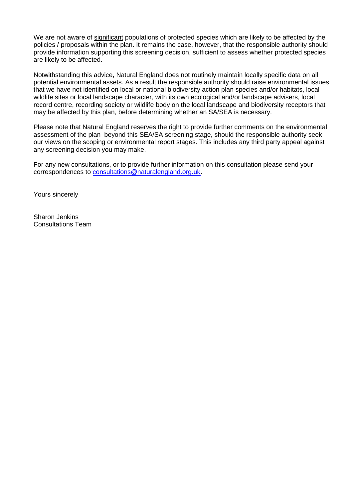We are not aware of significant populations of protected species which are likely to be affected by the policies / proposals within the plan. It remains the case, however, that the responsible authority should provide information supporting this screening decision, sufficient to assess whether protected species are likely to be affected.

Notwithstanding this advice, Natural England does not routinely maintain locally specific data on all potential environmental assets. As a result the responsible authority should raise environmental issues that we have not identified on local or national biodiversity action plan species and/or habitats, local wildlife sites or local landscape character, with its own ecological and/or landscape advisers, local record centre, recording society or wildlife body on the local landscape and biodiversity receptors that may be affected by this plan, before determining whether an SA/SEA is necessary.

Please note that Natural England reserves the right to provide further comments on the environmental assessment of the plan beyond this SEA/SA screening stage, should the responsible authority seek our views on the scoping or environmental report stages. This includes any third party appeal against any screening decision you may make.

For any new consultations, or to provide further information on this consultation please send your correspondences to consultations@naturalengland.org.uk.

Yours sincerely

-

Sharon Jenkins Consultations Team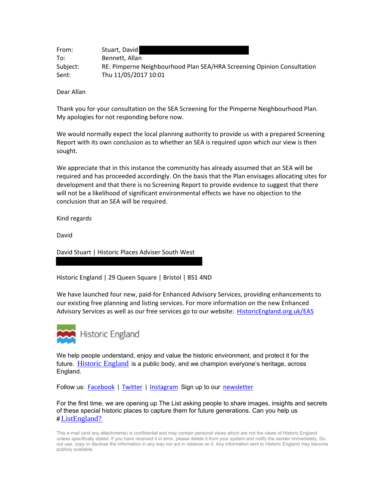| From:    | Stuart, David                                                          |
|----------|------------------------------------------------------------------------|
| To:      | Bennett, Allan                                                         |
| Subject: | RE: Pimperne Neighbourhood Plan SEA/HRA Screening Opinion Consultation |
| Sent:    | Thu 11/05/2017 10:01                                                   |

Dear Allan

Thank you for your consultation on the SEA Screening for the Pimperne Neighbourhood Plan. My apologies for not responding before now.

We would normally expect the local planning authority to provide us with a prepared Screening Report with its own conclusion as to whether an SEA is required upon which our view is then sought.

We appreciate that in this instance the community has already assumed that an SEA will be required and has proceeded accordingly. On the basis that the Plan envisages allocating sites for development and that there is no Screening Report to provide evidence to suggest that there will not be a likelihood of significant environmental effects we have no objection to the conclusion that an SEA will be required.

Kind regards

David

David Stuart | Historic Places Adviser South West

Historic England | 29 Queen Square | Bristol | BS1 4ND

We have launched four new, paid-for Enhanced Advisory Services, providing enhancements to our existing free planning and listing services. For more information on the new Enhanced Advisory Services as well as our free services go to our website: HistoricEngland.org.uk/EAS



We help people understand, enjoy and value the historic environment, and protect it for the future. Historic England is a public body, and we champion everyone's heritage, across England.

Follow us: Facebook | Twitter | Instagram. Sign up to our newsletter.

For the first time, we are opening up The List asking people to share images, insights and secrets of these special historic places to capture them for future generations. Can you help us  $# ListEngland?$ 

This e-mail (and any attachments) is confidential and may contain personal views which are not the views of Historic England unless specifically stated. If you have received it in error, please delete it from your system and notify the sender immediately. Do not use, copy or disclose the information in any way nor act in reliance on it. Any information sent to Historic England may become publicly available.